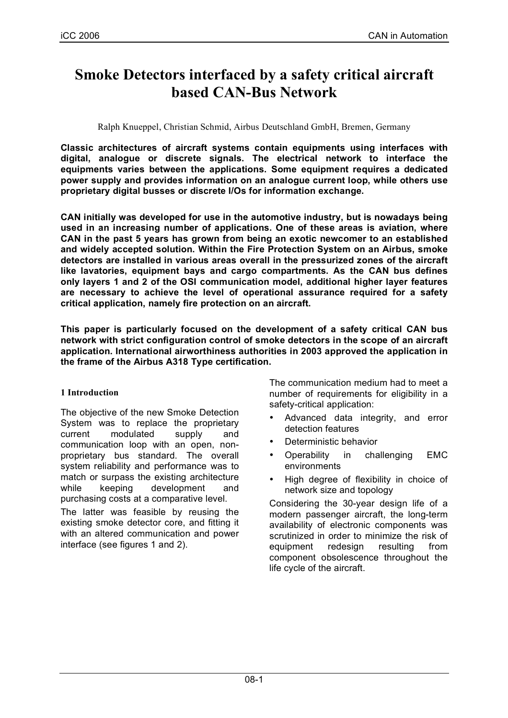# **Smoke Detectors interfaced by a safety critical aircraft based CAN-Bus Network**

Ralph Knueppel, Christian Schmid, Airbus Deutschland GmbH, Bremen, Germany

**Classic architectures of aircraft systems contain equipments using interfaces with digital, analogue or discrete signals. The electrical network to interface the equipments varies between the applications. Some equipment requires a dedicated power supply and provides information on an analogue current loop, while others use proprietary digital busses or discrete I/Os for information exchange.**

**CAN initially was developed for use in the automotive industry, but is nowadays being used in an increasing number of applications. One of these areas is aviation, where CAN in the past 5 years has grown from being an exotic newcomer to an established and widely accepted solution. Within the Fire Protection System on an Airbus, smoke detectors are installed in various areas overall in the pressurized zones of the aircraft like lavatories, equipment bays and cargo compartments. As the CAN bus defines only layers 1 and 2 of the OSI communication model, additional higher layer features are necessary to achieve the level of operational assurance required for a safety critical application, namely fire protection on an aircraft.**

**This paper is particularly focused on the development of a safety critical CAN bus network with strict configuration control of smoke detectors in the scope of an aircraft application. International airworthiness authorities in 2003 approved the application in the frame of the Airbus A318 Type certification.**

# **1 Introduction**

The objective of the new Smoke Detection System was to replace the proprietary current modulated supply and communication loop with an open, nonproprietary bus standard. The overall system reliability and performance was to match or surpass the existing architecture while keeping development and purchasing costs at a comparative level.

The latter was feasible by reusing the existing smoke detector core, and fitting it with an altered communication and power interface (see figures 1 and 2).

The communication medium had to meet a number of requirements for eligibility in a safety-critical application:

- Advanced data integrity, and error detection features
- Deterministic behavior
- Operability in challenging EMC environments
- High degree of flexibility in choice of network size and topology

Considering the 30-year design life of a modern passenger aircraft, the long-term availability of electronic components was scrutinized in order to minimize the risk of equipment redesign resulting from component obsolescence throughout the life cycle of the aircraft.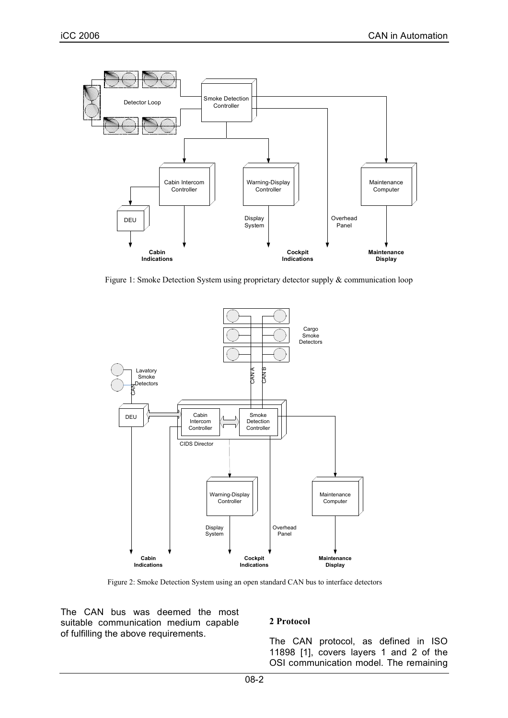

Figure 1: Smoke Detection System using proprietary detector supply & communication loop



Figure 2: Smoke Detection System using an open standard CAN bus to interface detectors

The CAN bus was deemed the most suitable communication medium capable of fulfilling the above requirements.

## **2 Protocol**

The CAN protocol, as defined in ISO 11898 [1], covers layers 1 and 2 of the OSI communication model. The remaining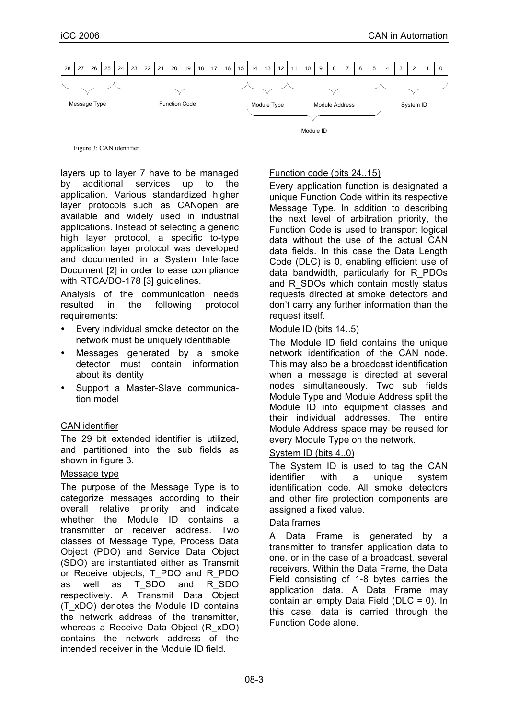

Figure 3: CAN identifier

layers up to layer 7 have to be managed by additional services up to the application. Various standardized higher layer protocols such as CANopen are available and widely used in industrial applications. Instead of selecting a generic high layer protocol, a specific to-type application layer protocol was developed and documented in a System Interface Document [2] in order to ease compliance with RTCA/DO-178 [3] guidelines.

Analysis of the communication needs resulted in the following protocol requirements:

- Every individual smoke detector on the network must be uniquely identifiable
- Messages generated by a smoke detector must contain information about its identity
- Support a Master-Slave communication model

# CAN identifier

The 29 bit extended identifier is utilized, and partitioned into the sub fields as shown in figure 3.

## Message type

The purpose of the Message Type is to categorize messages according to their overall relative priority and indicate whether the Module ID contains a transmitter or receiver address. Two classes of Message Type, Process Data Object (PDO) and Service Data Object (SDO) are instantiated either as Transmit or Receive objects; T\_PDO and R\_PDO as well as T\_SDO and R\_SDO respectively. A Transmit Data Object (T\_xDO) denotes the Module ID contains the network address of the transmitter, whereas a Receive Data Object (R\_xDO) contains the network address of the intended receiver in the Module ID field.

## Function code (bits 24..15)

Every application function is designated a unique Function Code within its respective Message Type. In addition to describing the next level of arbitration priority, the Function Code is used to transport logical data without the use of the actual CAN data fields. In this case the Data Length Code (DLC) is 0, enabling efficient use of data bandwidth, particularly for R\_PDOs and R SDOs which contain mostly status requests directed at smoke detectors and don't carry any further information than the request itself.

## Module ID (bits 14..5)

The Module ID field contains the unique network identification of the CAN node. This may also be a broadcast identification when a message is directed at several nodes simultaneously. Two sub fields Module Type and Module Address split the Module ID into equipment classes and their individual addresses. The entire Module Address space may be reused for every Module Type on the network.

## System ID (bits 4..0)

The System ID is used to tag the CAN identifier with a unique system identification code. All smoke detectors and other fire protection components are assigned a fixed value.

## Data frames

A Data Frame is generated by a transmitter to transfer application data to one, or in the case of a broadcast, several receivers. Within the Data Frame, the Data Field consisting of 1-8 bytes carries the application data. A Data Frame may contain an empty Data Field (DLC = 0). In this case, data is carried through the Function Code alone.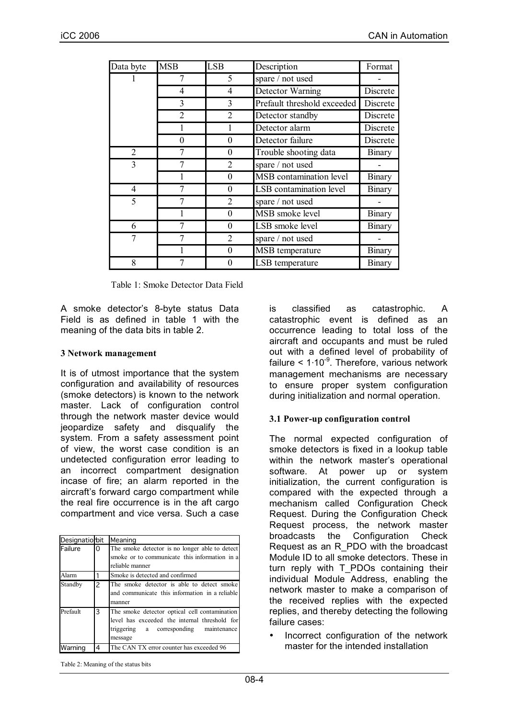| Data byte      | <b>MSB</b>     | <b>LSB</b>     | Description                    | Format        |
|----------------|----------------|----------------|--------------------------------|---------------|
|                | 7              | 5              | spare / not used               |               |
|                | $\overline{4}$ | 4              | Detector Warning               | Discrete      |
|                | 3              | 3              | Prefault threshold exceeded    | Discrete      |
|                | $\overline{2}$ | $\overline{2}$ | Detector standby               | Discrete      |
|                |                |                | Detector alarm                 | Discrete      |
|                | $\overline{0}$ | 0              | Detector failure               | Discrete      |
| $\overline{2}$ | 7              | 0              | Trouble shooting data          | Binary        |
| 3              | 7              | $\overline{2}$ | spare / not used               |               |
|                |                | 0              | MSB contamination level        | Binary        |
| 4              |                | 0              | <b>LSB</b> contamination level | Binary        |
| 5              |                | $\overline{2}$ | spare / not used               |               |
|                |                | 0              | MSB smoke level                | <b>Binary</b> |
| 6              | 7              | 0              | LSB smoke level                | <b>Binary</b> |
| 7              | 7              | $\overline{2}$ | spare / not used               |               |
|                |                | 0              | MSB temperature                | Binary        |
| 8              |                | 0              | LSB temperature                | Binary        |

Table 1: Smoke Detector Data Field

A smoke detector's 8-byte status Data Field is as defined in table 1 with the meaning of the data bits in table 2.

#### **3 Network management**

It is of utmost importance that the system configuration and availability of resources (smoke detectors) is known to the network master. Lack of configuration control through the network master device would jeopardize safety and disqualify the system. From a safety assessment point of view, the worst case condition is an undetected configuration error leading to an incorrect compartment designation incase of fire; an alarm reported in the aircraft's forward cargo compartment while the real fire occurrence is in the aft cargo compartment and vice versa. Such a case

| Designatio bit |   | Meaning                                                                                                                                             |
|----------------|---|-----------------------------------------------------------------------------------------------------------------------------------------------------|
| Failure        | 0 | The smoke detector is no longer able to detect<br>smoke or to communicate this information in a<br>reliable manner                                  |
| Alarm          |   | Smoke is detected and confirmed                                                                                                                     |
| Standby        | 2 | The smoke detector is able to detect smoke<br>and communicate this information in a reliable<br>manner                                              |
| Prefault       | 3 | The smoke detector optical cell contamination<br>level has exceeded the internal threshold for<br>triggering a corresponding maintenance<br>message |
| Warning        | 4 | The CAN TX error counter has exceeded 96                                                                                                            |

is classified as catastrophic. A catastrophic event is defined as an occurrence leading to total loss of the aircraft and occupants and must be ruled out with a defined level of probability of failure < 1⋅10<sup>-9</sup>. Therefore, various network management mechanisms are necessary to ensure proper system configuration during initialization and normal operation.

#### **3.1 Power-up configuration control**

The normal expected configuration of smoke detectors is fixed in a lookup table within the network master's operational software. At power up or system initialization, the current configuration is compared with the expected through a mechanism called Configuration Check Request. During the Configuration Check Request process, the network master broadcasts the Configuration Check Request as an R\_PDO with the broadcast Module ID to all smoke detectors. These in turn reply with T\_PDOs containing their individual Module Address, enabling the network master to make a comparison of the received replies with the expected replies, and thereby detecting the following failure cases:

• Incorrect configuration of the network master for the intended installation

Table 2: Meaning of the status bits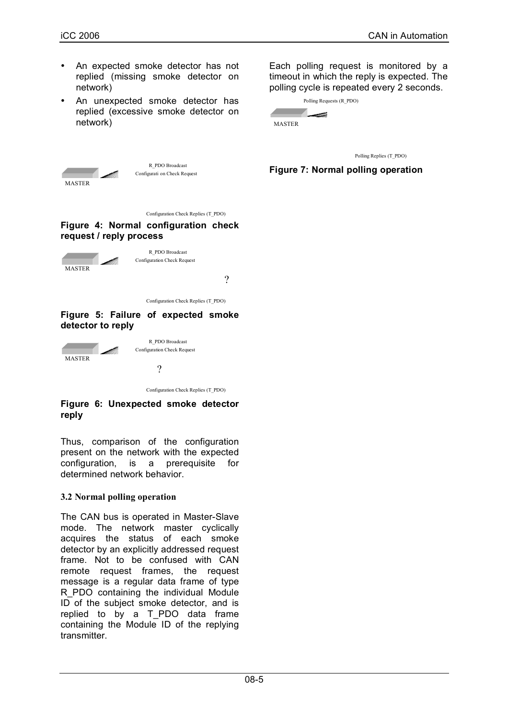MASTER



An unexpected smoke detector has replied (excessive smoke detector on network)

Each polling request is monitored by a timeout in which the reply is expected. The polling cycle is repeated every 2 seconds.

|        | Polling Requests (R PDO) |
|--------|--------------------------|
|        | بييسية                   |
| MASTER |                          |

Polling Replies (T\_PDO)

**Figure 7: Normal polling operation**

Configuration Check Replies (T\_PDO)

Configurati on Check Request R\_PDO Broadcast

#### **Figure 4: Normal configuration check request / reply process**



Configuration Check Replies (T\_PDO)

#### **Figure 5: Failure of expected smoke detector to reply**



Configuration Check Replies (T\_PDO)

## **Figure 6: Unexpected smoke detector reply**

Thus, comparison of the configuration present on the network with the expected configuration, is a prerequisite for determined network behavior.

# **3.2 Normal polling operation**

The CAN bus is operated in Master-Slave mode. The network master cyclically acquires the status of each smoke detector by an explicitly addressed request frame. Not to be confused with CAN remote request frames, the request message is a regular data frame of type R\_PDO containing the individual Module ID of the subject smoke detector, and is replied to by a T\_PDO data frame containing the Module ID of the replying transmitter.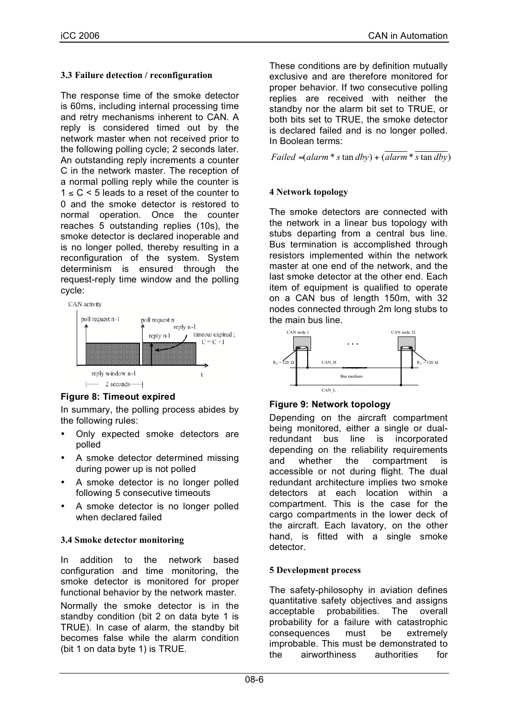# **3.3 Failure detection / reconfiguration**

The response time of the smoke detector is 60ms, including internal processing time and retry mechanisms inherent to CAN. A reply is considered timed out by the network master when not received prior to the following polling cycle; 2 seconds later. An outstanding reply increments a counter C in the network master. The reception of a normal polling reply while the counter is  $1 \leq C \leq 5$  leads to a reset of the counter to 0 and the smoke detector is restored to normal operation. Once the counter reaches 5 outstanding replies (10s), the smoke detector is declared inoperable and is no longer polled, thereby resulting in a reconfiguration of the system. System determinism is ensured through the request-reply time window and the polling cycle:





# **Figure 8: Timeout expired**

In summary, the polling process abides by the following rules:

- Only expected smoke detectors are polled
- A smoke detector determined missing during power up is not polled
- A smoke detector is no longer polled following 5 consecutive timeouts
- A smoke detector is no longer polled when declared failed

# **3.4 Smoke detector monitoring**

In addition to the network based configuration and time monitoring, the smoke detector is monitored for proper functional behavior by the network master.

Normally the smoke detector is in the standby condition (bit 2 on data byte 1 is TRUE). In case of alarm, the standby bit becomes false while the alarm condition (bit 1 on data byte 1) is TRUE.

These conditions are by definition mutually exclusive and are therefore monitored for proper behavior. If two consecutive polling replies are received with neither the standby nor the alarm bit set to TRUE, or both bits set to TRUE, the smoke detector is declared failed and is no longer polled. In Boolean terms:

*Failed* =  $(alarm * s \tan dby) + (alarm * s \tan dby)$ 

# **4 Network topology**

The smoke detectors are connected with the network in a linear bus topology with stubs departing from a central bus line. Bus termination is accomplished through resistors implemented within the network master at one end of the network, and the last smoke detector at the other end. Each item of equipment is qualified to operate on a CAN bus of length 150m, with 32 nodes connected through 2m long stubs to the main bus line.



# **Figure 9: Network topology**

Depending on the aircraft compartment being monitored, either a single or dualredundant bus line is incorporated depending on the reliability requirements and whether the compartment is accessible or not during flight. The dual redundant architecture implies two smoke detectors at each location within a compartment. This is the case for the cargo compartments in the lower deck of the aircraft. Each lavatory, on the other hand, is fitted with a single smoke detector.

# **5 Development process**

The safety-philosophy in aviation defines quantitative safety objectives and assigns acceptable probabilities. The overall probability for a failure with catastrophic consequences must be extremely improbable. This must be demonstrated to the airworthiness authorities for